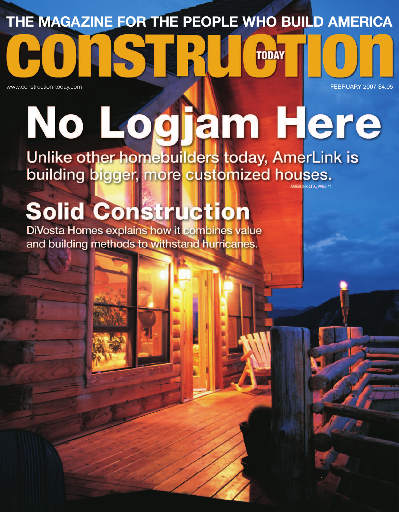## **THE MAGAZINE FOR THE PEOPLE WHO BUILD AMERICA**

**TODAY** 

www.construction-today.com **FEBRUARY 2007 \$4.95** 

# No Logjam Here Unlike other homebuilders today, AmerLink is

building bigger, more customized houses. **IK LTD., PAGE 4** 

## **Solid Construction**

**DiVosta Homes explains how it combines value** and building methods to withstand hurricanes.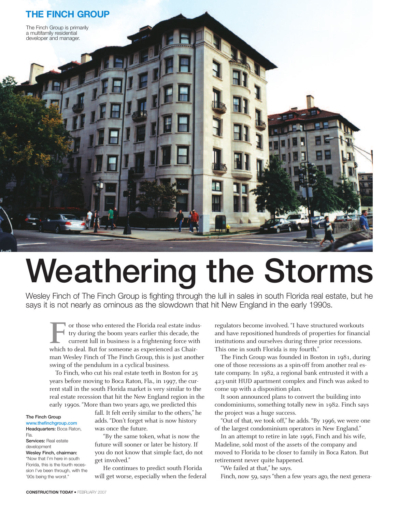

# Weathering the Storms

Wesley Finch of The Finch Group is fighting through the lull in sales in south Florida real estate, but he says it is not nearly as ominous as the slowdown that hit New England in the early 1990s.

or those who entered the Florida real estate industry during the boom years earlier this decade, the current lull in business is a frightening force with The value of those who entered the Florida real estate indu<br>try during the boom years earlier this decade, the<br>current lull in business is a frightening force with<br>which to deal. But for someone as experienced as Chairman Wesley Finch of The Finch Group, this is just another swing of the pendulum in a cyclical business.

To Finch, who cut his real estate teeth in Boston for 25 years before moving to Boca Raton, Fla., in 1997, the current stall in the south Florida market is very similar to the real estate recession that hit the New England region in the early 1990s. "More than two years ago, we predicted this

#### The Finch Group www.thefinchgroup.com

Headquarters: Boca Raton, Fla. Services: Real estate

#### development Wesley Finch, chairman:

"Now that I'm here in south Florida, this is the fourth recession I've been through, with the '90s being the worst."

fall. It felt eerily similar to the others," he adds. "Don't forget what is now history was once the future.

"By the same token, what is now the future will sooner or later be history. If you do not know that simple fact, do not get involved."

He continues to predict south Florida will get worse, especially when the federal regulators become involved. "I have structured workouts and have repositioned hundreds of properties for financial institutions and ourselves during three prior recessions. This one in south Florida is my fourth."

The Finch Group was founded in Boston in 1981, during one of those recessions as a spin-off from another real estate company. In 1982, a regional bank entrusted it with a 423-unit HUD apartment complex and Finch was asked to come up with a disposition plan.

It soon announced plans to convert the building into condominiums, something totally new in 1982. Finch says the project was a huge success.

"Out of that, we took off," he adds. "By 1996, we were one of the largest condominium operators in New England."

In an attempt to retire in late 1996, Finch and his wife, Madeline, sold most of the assets of the company and moved to Florida to be closer to family in Boca Raton. But retirement never quite happened.

"We failed at that," he says.

Finch, now 59, says "then a few years ago, the next genera-